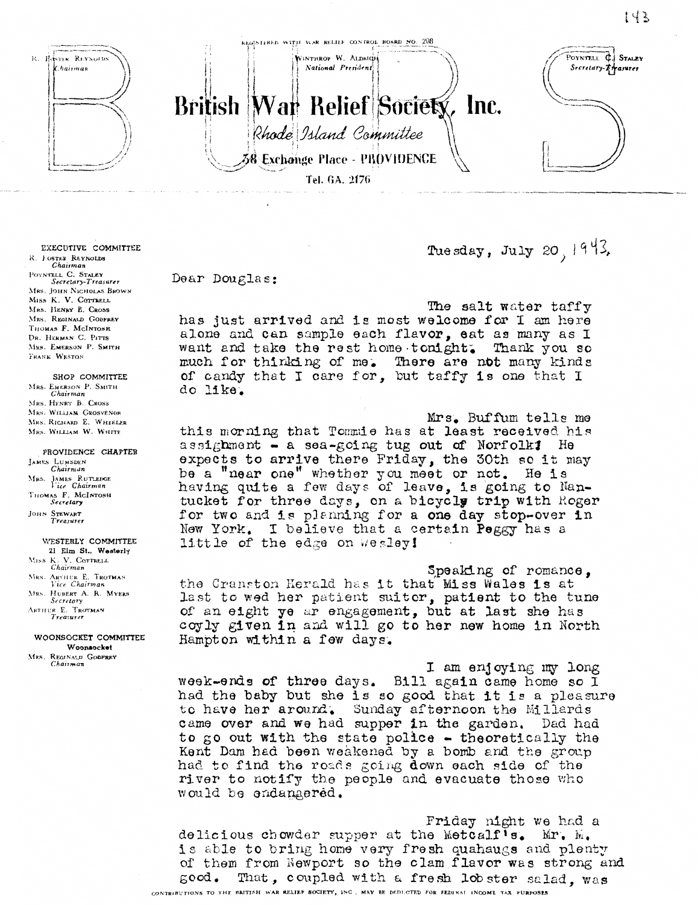

The sday, July 20,  $1943$ ,

Dear Douglas:

The salt water taffy has just arrived and is most welcome for I am here alone and can sample each flavor, eat as many as I want and take the rest home tonight. Thank you so much for thinking of me. There are not many kinds of candy that I care for, but taffy is one that I do like.

Mrs. Buffum tells me this morning that Tommie has at least received his assighment - a sea-going tug out of Norfolk! He expects to arrive there Friday, the 30th so it may be a "near one" whether you meet or not. He is having quite a few days of leave, is going to Nantucket for three days, on a bicycly trip with Roger for two and is planning for a one day stop-over in I believe that a certain Peggy has a New York. little of the edge on wesley!

Speaking of romance, the Cranston Herald has it that Miss Wales is at last to wed her patient suitor, patient to the tune of an eight ye ar engagement, but at last she has coyly given in and will go to her new home in North Hampton within a few days.

I am enjoying my long week-ends of three days. Bill again came home so I had the baby but she is so good that it is a pleasure to have her around. Sunday afternoon the Millards came over and we had supper in the garden. Dad had to go out with the state police - theoretically the Kent Dam had been weakened by a bomb and the group had to find the roads going down each side of the river to notify the people and evacuate those who would be endangered.

Friday night we had a delicious chowder supper at the Metcalf's. Mr. M. is able to bring home very fresh quahaugs and plenty of them from Newport so the clam flavor was strong and That, coupled with a fresh lob ster salad, was  $500d$ . CONTRIBUTIONS TO THE BRITISH WAR RELIEF SOCIETY, INC. MAY BE DEDUCTED FOR FEDIRAL INCOME TAX PURPOSES

EXECUTIVE COMMITTEE R. FOSTER REYNOLDS Chairman POYNTELL C. STALEY<br>Secretary-Treasurer MRS. JOHN NICHOLAS BROWN MISS K. V. COTTRELL MRS. HENRY B. CROSS MRS. REGINALD GODFREY THOMAS F. MCINTOSH DR. HERMAN C. PITTS MRS. EMERSON P. SMITH FRANK WESTON

SHOP COMMITTEE MRS. EMERSON P. SMITH<br>Chairman MRS. HENRY B. CROSS MRS. WILLIAM GROSVENOR MRS. RICHARD E. WHEELER MRS. WILLIAM W. WHITE

PROVIDENCE CHAPTER JAMES LUMSDEN<br>Chairman MRS. JAMES RUTLEDGE<br>Vice Chairman THOMAS F. MCINTOSH JOHN STEWART<br>Treasurer

WESTERLY COMMITTEE 21 Elm St., Westerly Miss K. V. COTTRELL<br>Chairman MRS. ARTHUR E. TROTMAN<br>Vice Chairman MRS. HUBERT A. R. MYERS Secretary ARTHUR E. TROTMAN

WOONSOCKET COMMITTEE Woonsocket MRS. REGINALD GODFREY

Chairman